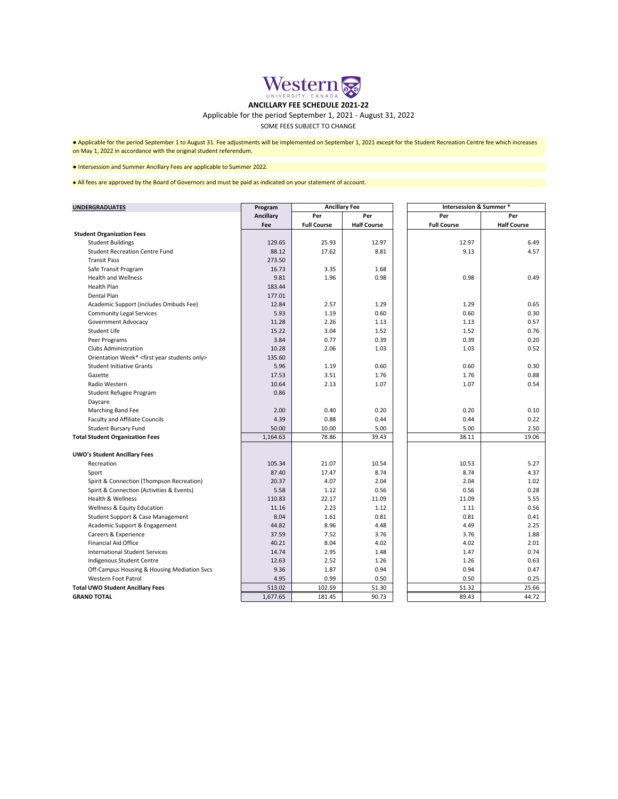● Applicable for the period September 1 to August 31. Fee adjustments will be implemented on September 1, 2021 except for the Student Recreation Centre fee which increases on May 1, 2022 in accordance with the original student referendum.

| Per<br>Per<br>Per<br><b>Ancillary</b><br>Per<br><b>Half Course</b><br><b>Full Course</b><br><b>Half Course</b><br><b>Full Course</b><br>Fee<br><b>Student Organization Fees</b><br>25.93<br>12.97<br>6.49<br>129.65<br>12.97<br><b>Student Buildings</b><br>9.13<br><b>Student Recreation Centre Fund</b><br>88.12<br>17.62<br>8.81<br>4.57<br><b>Transit Pass</b><br>273.50<br>3.35<br>Safe Transit Program<br>16.73<br>1.68<br><b>Health and Wellness</b><br>9.81<br>1.96<br>0.98<br>0.49<br>0.98<br><b>Health Plan</b><br>183.44<br>Dental Plan<br>177.01<br>2.57<br>Academic Support (includes Ombuds Fee)<br>12.84<br>1.29<br>1.29<br>0.65<br>0.60<br><b>Community Legal Services</b><br>5.93<br>1.19<br>0.60<br>0.30<br><b>Government Advocacy</b><br>11.28<br>2.26<br>1.13<br>1.13<br>0.57<br><b>Student Life</b><br>15.22<br>3.04<br>1.52<br>1.52<br>0.76<br>0.77<br>Peer Programs<br>3.84<br>0.39<br>0.39<br>0.20<br><b>Clubs Administration</b><br>10.28<br>2.06<br>1.03<br>0.52<br>1.03<br>Orientation Week* <first only="" students="" year=""><br/>135.60<br/>1.19<br/>0.60<br/>0.30<br/>5.96<br/>0.60<br/><b>Student Initiative Grants</b><br/>1.76<br/>0.88<br/>17.53<br/>3.51<br/>1.76<br/>Gazette<br/>10.64<br/>2.13<br/>1.07<br/>0.54<br/>Radio Western<br/>1.07<br/>0.86<br/>Student Refugee Program<br/>Daycare<br/>2.00<br/>0.20<br/><b>Marching Band Fee</b><br/>0.40<br/>0.20<br/>0.10<br/><b>Faculty and Affiliate Councils</b><br/>4.39<br/>0.88<br/>0.44<br/>0.44<br/>0.22<br/><b>Student Bursary Fund</b><br/>50.00<br/>10.00<br/>5.00<br/>5.00<br/>2.50<br/>19.06<br/>1,164.63<br/>78.86<br/>39.43<br/>38.11<br/><b>Total Student Organization Fees</b><br/><b>UWO's Student Ancillary Fees</b><br/>105.34<br/>21.07<br/>10.54<br/>5.27<br/>Recreation<br/>10.53<br/>87.40<br/>17.47<br/>8.74<br/>8.74<br/>4.37<br/>Sport<br/>20.37<br/>4.07<br/>2.04<br/>2.04<br/>1.02<br/>Spirit &amp; Connection (Thompson Recreation)<br/>5.58<br/>0.56<br/>Spirit &amp; Connection (Activities &amp; Events)<br/>1.12<br/>0.56<br/>0.28<br/>Health &amp; Wellness<br/>110.83<br/>22.17<br/>11.09<br/>11.09<br/>5.55<br/><b>Wellness &amp; Equity Education</b><br/>11.16<br/>2.23<br/>1.12<br/>1.11<br/>0.56<br/><b>Student Support &amp; Case Management</b><br/>8.04<br/>1.61<br/>0.81<br/>0.81<br/>0.41<br/>Academic Support &amp; Engagement<br/>44.82<br/>8.96<br/>4.48<br/>4.49<br/>2.25<br/>Careers &amp; Experience<br/>37.59<br/>7.52<br/>3.76<br/>3.76<br/>1.88<br/><b>Financial Aid Office</b><br/>40.21<br/>8.04<br/>4.02<br/>2.01<br/>4.02<br/><b>International Student Services</b><br/>14.74<br/>2.95<br/>1.47<br/>0.74<br/>1.48<br/>12.63<br/>2.52<br/>1.26<br/>1.26<br/>0.63<br/>Indigenous Student Centre<br/>9.36<br/>0.94<br/>0.94<br/>Off-Campus Housing &amp; Housing Mediation Svcs<br/>1.87<br/>0.47<br/><b>Western Foot Patrol</b><br/>4.95<br/>0.99<br/>0.50<br/>0.50<br/>0.25<br/>513.02<br/>102.59<br/>51.32<br/><b>Total UWO Student Ancillary Fees</b><br/>51.30<br/>25.66</first> | <b>UNDERGRADUATES</b> | Program  | <b>Ancillary Fee</b> |       | <b>Intersession &amp; Summer *</b> |       |
|-----------------------------------------------------------------------------------------------------------------------------------------------------------------------------------------------------------------------------------------------------------------------------------------------------------------------------------------------------------------------------------------------------------------------------------------------------------------------------------------------------------------------------------------------------------------------------------------------------------------------------------------------------------------------------------------------------------------------------------------------------------------------------------------------------------------------------------------------------------------------------------------------------------------------------------------------------------------------------------------------------------------------------------------------------------------------------------------------------------------------------------------------------------------------------------------------------------------------------------------------------------------------------------------------------------------------------------------------------------------------------------------------------------------------------------------------------------------------------------------------------------------------------------------------------------------------------------------------------------------------------------------------------------------------------------------------------------------------------------------------------------------------------------------------------------------------------------------------------------------------------------------------------------------------------------------------------------------------------------------------------------------------------------------------------------------------------------------------------------------------------------------------------------------------------------------------------------------------------------------------------------------------------------------------------------------------------------------------------------------------------------------------------------------------------------------------------------------------------------------------------------------------------------------------------------------------------------------------------------------------------------------------------------------------------------------------------------------------------------------------------------------------------------------------------------------------------------------------------------------------------------------------------------------------------------------------------------------------------------------------------------------------------------|-----------------------|----------|----------------------|-------|------------------------------------|-------|
|                                                                                                                                                                                                                                                                                                                                                                                                                                                                                                                                                                                                                                                                                                                                                                                                                                                                                                                                                                                                                                                                                                                                                                                                                                                                                                                                                                                                                                                                                                                                                                                                                                                                                                                                                                                                                                                                                                                                                                                                                                                                                                                                                                                                                                                                                                                                                                                                                                                                                                                                                                                                                                                                                                                                                                                                                                                                                                                                                                                                                                   |                       |          |                      |       |                                    |       |
|                                                                                                                                                                                                                                                                                                                                                                                                                                                                                                                                                                                                                                                                                                                                                                                                                                                                                                                                                                                                                                                                                                                                                                                                                                                                                                                                                                                                                                                                                                                                                                                                                                                                                                                                                                                                                                                                                                                                                                                                                                                                                                                                                                                                                                                                                                                                                                                                                                                                                                                                                                                                                                                                                                                                                                                                                                                                                                                                                                                                                                   |                       |          |                      |       |                                    |       |
|                                                                                                                                                                                                                                                                                                                                                                                                                                                                                                                                                                                                                                                                                                                                                                                                                                                                                                                                                                                                                                                                                                                                                                                                                                                                                                                                                                                                                                                                                                                                                                                                                                                                                                                                                                                                                                                                                                                                                                                                                                                                                                                                                                                                                                                                                                                                                                                                                                                                                                                                                                                                                                                                                                                                                                                                                                                                                                                                                                                                                                   |                       |          |                      |       |                                    |       |
|                                                                                                                                                                                                                                                                                                                                                                                                                                                                                                                                                                                                                                                                                                                                                                                                                                                                                                                                                                                                                                                                                                                                                                                                                                                                                                                                                                                                                                                                                                                                                                                                                                                                                                                                                                                                                                                                                                                                                                                                                                                                                                                                                                                                                                                                                                                                                                                                                                                                                                                                                                                                                                                                                                                                                                                                                                                                                                                                                                                                                                   |                       |          |                      |       |                                    |       |
|                                                                                                                                                                                                                                                                                                                                                                                                                                                                                                                                                                                                                                                                                                                                                                                                                                                                                                                                                                                                                                                                                                                                                                                                                                                                                                                                                                                                                                                                                                                                                                                                                                                                                                                                                                                                                                                                                                                                                                                                                                                                                                                                                                                                                                                                                                                                                                                                                                                                                                                                                                                                                                                                                                                                                                                                                                                                                                                                                                                                                                   |                       |          |                      |       |                                    |       |
|                                                                                                                                                                                                                                                                                                                                                                                                                                                                                                                                                                                                                                                                                                                                                                                                                                                                                                                                                                                                                                                                                                                                                                                                                                                                                                                                                                                                                                                                                                                                                                                                                                                                                                                                                                                                                                                                                                                                                                                                                                                                                                                                                                                                                                                                                                                                                                                                                                                                                                                                                                                                                                                                                                                                                                                                                                                                                                                                                                                                                                   |                       |          |                      |       |                                    |       |
|                                                                                                                                                                                                                                                                                                                                                                                                                                                                                                                                                                                                                                                                                                                                                                                                                                                                                                                                                                                                                                                                                                                                                                                                                                                                                                                                                                                                                                                                                                                                                                                                                                                                                                                                                                                                                                                                                                                                                                                                                                                                                                                                                                                                                                                                                                                                                                                                                                                                                                                                                                                                                                                                                                                                                                                                                                                                                                                                                                                                                                   |                       |          |                      |       |                                    |       |
|                                                                                                                                                                                                                                                                                                                                                                                                                                                                                                                                                                                                                                                                                                                                                                                                                                                                                                                                                                                                                                                                                                                                                                                                                                                                                                                                                                                                                                                                                                                                                                                                                                                                                                                                                                                                                                                                                                                                                                                                                                                                                                                                                                                                                                                                                                                                                                                                                                                                                                                                                                                                                                                                                                                                                                                                                                                                                                                                                                                                                                   |                       |          |                      |       |                                    |       |
|                                                                                                                                                                                                                                                                                                                                                                                                                                                                                                                                                                                                                                                                                                                                                                                                                                                                                                                                                                                                                                                                                                                                                                                                                                                                                                                                                                                                                                                                                                                                                                                                                                                                                                                                                                                                                                                                                                                                                                                                                                                                                                                                                                                                                                                                                                                                                                                                                                                                                                                                                                                                                                                                                                                                                                                                                                                                                                                                                                                                                                   |                       |          |                      |       |                                    |       |
|                                                                                                                                                                                                                                                                                                                                                                                                                                                                                                                                                                                                                                                                                                                                                                                                                                                                                                                                                                                                                                                                                                                                                                                                                                                                                                                                                                                                                                                                                                                                                                                                                                                                                                                                                                                                                                                                                                                                                                                                                                                                                                                                                                                                                                                                                                                                                                                                                                                                                                                                                                                                                                                                                                                                                                                                                                                                                                                                                                                                                                   |                       |          |                      |       |                                    |       |
|                                                                                                                                                                                                                                                                                                                                                                                                                                                                                                                                                                                                                                                                                                                                                                                                                                                                                                                                                                                                                                                                                                                                                                                                                                                                                                                                                                                                                                                                                                                                                                                                                                                                                                                                                                                                                                                                                                                                                                                                                                                                                                                                                                                                                                                                                                                                                                                                                                                                                                                                                                                                                                                                                                                                                                                                                                                                                                                                                                                                                                   |                       |          |                      |       |                                    |       |
|                                                                                                                                                                                                                                                                                                                                                                                                                                                                                                                                                                                                                                                                                                                                                                                                                                                                                                                                                                                                                                                                                                                                                                                                                                                                                                                                                                                                                                                                                                                                                                                                                                                                                                                                                                                                                                                                                                                                                                                                                                                                                                                                                                                                                                                                                                                                                                                                                                                                                                                                                                                                                                                                                                                                                                                                                                                                                                                                                                                                                                   |                       |          |                      |       |                                    |       |
|                                                                                                                                                                                                                                                                                                                                                                                                                                                                                                                                                                                                                                                                                                                                                                                                                                                                                                                                                                                                                                                                                                                                                                                                                                                                                                                                                                                                                                                                                                                                                                                                                                                                                                                                                                                                                                                                                                                                                                                                                                                                                                                                                                                                                                                                                                                                                                                                                                                                                                                                                                                                                                                                                                                                                                                                                                                                                                                                                                                                                                   |                       |          |                      |       |                                    |       |
|                                                                                                                                                                                                                                                                                                                                                                                                                                                                                                                                                                                                                                                                                                                                                                                                                                                                                                                                                                                                                                                                                                                                                                                                                                                                                                                                                                                                                                                                                                                                                                                                                                                                                                                                                                                                                                                                                                                                                                                                                                                                                                                                                                                                                                                                                                                                                                                                                                                                                                                                                                                                                                                                                                                                                                                                                                                                                                                                                                                                                                   |                       |          |                      |       |                                    |       |
|                                                                                                                                                                                                                                                                                                                                                                                                                                                                                                                                                                                                                                                                                                                                                                                                                                                                                                                                                                                                                                                                                                                                                                                                                                                                                                                                                                                                                                                                                                                                                                                                                                                                                                                                                                                                                                                                                                                                                                                                                                                                                                                                                                                                                                                                                                                                                                                                                                                                                                                                                                                                                                                                                                                                                                                                                                                                                                                                                                                                                                   |                       |          |                      |       |                                    |       |
|                                                                                                                                                                                                                                                                                                                                                                                                                                                                                                                                                                                                                                                                                                                                                                                                                                                                                                                                                                                                                                                                                                                                                                                                                                                                                                                                                                                                                                                                                                                                                                                                                                                                                                                                                                                                                                                                                                                                                                                                                                                                                                                                                                                                                                                                                                                                                                                                                                                                                                                                                                                                                                                                                                                                                                                                                                                                                                                                                                                                                                   |                       |          |                      |       |                                    |       |
|                                                                                                                                                                                                                                                                                                                                                                                                                                                                                                                                                                                                                                                                                                                                                                                                                                                                                                                                                                                                                                                                                                                                                                                                                                                                                                                                                                                                                                                                                                                                                                                                                                                                                                                                                                                                                                                                                                                                                                                                                                                                                                                                                                                                                                                                                                                                                                                                                                                                                                                                                                                                                                                                                                                                                                                                                                                                                                                                                                                                                                   |                       |          |                      |       |                                    |       |
|                                                                                                                                                                                                                                                                                                                                                                                                                                                                                                                                                                                                                                                                                                                                                                                                                                                                                                                                                                                                                                                                                                                                                                                                                                                                                                                                                                                                                                                                                                                                                                                                                                                                                                                                                                                                                                                                                                                                                                                                                                                                                                                                                                                                                                                                                                                                                                                                                                                                                                                                                                                                                                                                                                                                                                                                                                                                                                                                                                                                                                   |                       |          |                      |       |                                    |       |
|                                                                                                                                                                                                                                                                                                                                                                                                                                                                                                                                                                                                                                                                                                                                                                                                                                                                                                                                                                                                                                                                                                                                                                                                                                                                                                                                                                                                                                                                                                                                                                                                                                                                                                                                                                                                                                                                                                                                                                                                                                                                                                                                                                                                                                                                                                                                                                                                                                                                                                                                                                                                                                                                                                                                                                                                                                                                                                                                                                                                                                   |                       |          |                      |       |                                    |       |
|                                                                                                                                                                                                                                                                                                                                                                                                                                                                                                                                                                                                                                                                                                                                                                                                                                                                                                                                                                                                                                                                                                                                                                                                                                                                                                                                                                                                                                                                                                                                                                                                                                                                                                                                                                                                                                                                                                                                                                                                                                                                                                                                                                                                                                                                                                                                                                                                                                                                                                                                                                                                                                                                                                                                                                                                                                                                                                                                                                                                                                   |                       |          |                      |       |                                    |       |
|                                                                                                                                                                                                                                                                                                                                                                                                                                                                                                                                                                                                                                                                                                                                                                                                                                                                                                                                                                                                                                                                                                                                                                                                                                                                                                                                                                                                                                                                                                                                                                                                                                                                                                                                                                                                                                                                                                                                                                                                                                                                                                                                                                                                                                                                                                                                                                                                                                                                                                                                                                                                                                                                                                                                                                                                                                                                                                                                                                                                                                   |                       |          |                      |       |                                    |       |
|                                                                                                                                                                                                                                                                                                                                                                                                                                                                                                                                                                                                                                                                                                                                                                                                                                                                                                                                                                                                                                                                                                                                                                                                                                                                                                                                                                                                                                                                                                                                                                                                                                                                                                                                                                                                                                                                                                                                                                                                                                                                                                                                                                                                                                                                                                                                                                                                                                                                                                                                                                                                                                                                                                                                                                                                                                                                                                                                                                                                                                   |                       |          |                      |       |                                    |       |
|                                                                                                                                                                                                                                                                                                                                                                                                                                                                                                                                                                                                                                                                                                                                                                                                                                                                                                                                                                                                                                                                                                                                                                                                                                                                                                                                                                                                                                                                                                                                                                                                                                                                                                                                                                                                                                                                                                                                                                                                                                                                                                                                                                                                                                                                                                                                                                                                                                                                                                                                                                                                                                                                                                                                                                                                                                                                                                                                                                                                                                   |                       |          |                      |       |                                    |       |
|                                                                                                                                                                                                                                                                                                                                                                                                                                                                                                                                                                                                                                                                                                                                                                                                                                                                                                                                                                                                                                                                                                                                                                                                                                                                                                                                                                                                                                                                                                                                                                                                                                                                                                                                                                                                                                                                                                                                                                                                                                                                                                                                                                                                                                                                                                                                                                                                                                                                                                                                                                                                                                                                                                                                                                                                                                                                                                                                                                                                                                   |                       |          |                      |       |                                    |       |
|                                                                                                                                                                                                                                                                                                                                                                                                                                                                                                                                                                                                                                                                                                                                                                                                                                                                                                                                                                                                                                                                                                                                                                                                                                                                                                                                                                                                                                                                                                                                                                                                                                                                                                                                                                                                                                                                                                                                                                                                                                                                                                                                                                                                                                                                                                                                                                                                                                                                                                                                                                                                                                                                                                                                                                                                                                                                                                                                                                                                                                   |                       |          |                      |       |                                    |       |
|                                                                                                                                                                                                                                                                                                                                                                                                                                                                                                                                                                                                                                                                                                                                                                                                                                                                                                                                                                                                                                                                                                                                                                                                                                                                                                                                                                                                                                                                                                                                                                                                                                                                                                                                                                                                                                                                                                                                                                                                                                                                                                                                                                                                                                                                                                                                                                                                                                                                                                                                                                                                                                                                                                                                                                                                                                                                                                                                                                                                                                   |                       |          |                      |       |                                    |       |
|                                                                                                                                                                                                                                                                                                                                                                                                                                                                                                                                                                                                                                                                                                                                                                                                                                                                                                                                                                                                                                                                                                                                                                                                                                                                                                                                                                                                                                                                                                                                                                                                                                                                                                                                                                                                                                                                                                                                                                                                                                                                                                                                                                                                                                                                                                                                                                                                                                                                                                                                                                                                                                                                                                                                                                                                                                                                                                                                                                                                                                   |                       |          |                      |       |                                    |       |
|                                                                                                                                                                                                                                                                                                                                                                                                                                                                                                                                                                                                                                                                                                                                                                                                                                                                                                                                                                                                                                                                                                                                                                                                                                                                                                                                                                                                                                                                                                                                                                                                                                                                                                                                                                                                                                                                                                                                                                                                                                                                                                                                                                                                                                                                                                                                                                                                                                                                                                                                                                                                                                                                                                                                                                                                                                                                                                                                                                                                                                   |                       |          |                      |       |                                    |       |
|                                                                                                                                                                                                                                                                                                                                                                                                                                                                                                                                                                                                                                                                                                                                                                                                                                                                                                                                                                                                                                                                                                                                                                                                                                                                                                                                                                                                                                                                                                                                                                                                                                                                                                                                                                                                                                                                                                                                                                                                                                                                                                                                                                                                                                                                                                                                                                                                                                                                                                                                                                                                                                                                                                                                                                                                                                                                                                                                                                                                                                   |                       |          |                      |       |                                    |       |
|                                                                                                                                                                                                                                                                                                                                                                                                                                                                                                                                                                                                                                                                                                                                                                                                                                                                                                                                                                                                                                                                                                                                                                                                                                                                                                                                                                                                                                                                                                                                                                                                                                                                                                                                                                                                                                                                                                                                                                                                                                                                                                                                                                                                                                                                                                                                                                                                                                                                                                                                                                                                                                                                                                                                                                                                                                                                                                                                                                                                                                   |                       |          |                      |       |                                    |       |
|                                                                                                                                                                                                                                                                                                                                                                                                                                                                                                                                                                                                                                                                                                                                                                                                                                                                                                                                                                                                                                                                                                                                                                                                                                                                                                                                                                                                                                                                                                                                                                                                                                                                                                                                                                                                                                                                                                                                                                                                                                                                                                                                                                                                                                                                                                                                                                                                                                                                                                                                                                                                                                                                                                                                                                                                                                                                                                                                                                                                                                   |                       |          |                      |       |                                    |       |
|                                                                                                                                                                                                                                                                                                                                                                                                                                                                                                                                                                                                                                                                                                                                                                                                                                                                                                                                                                                                                                                                                                                                                                                                                                                                                                                                                                                                                                                                                                                                                                                                                                                                                                                                                                                                                                                                                                                                                                                                                                                                                                                                                                                                                                                                                                                                                                                                                                                                                                                                                                                                                                                                                                                                                                                                                                                                                                                                                                                                                                   |                       |          |                      |       |                                    |       |
|                                                                                                                                                                                                                                                                                                                                                                                                                                                                                                                                                                                                                                                                                                                                                                                                                                                                                                                                                                                                                                                                                                                                                                                                                                                                                                                                                                                                                                                                                                                                                                                                                                                                                                                                                                                                                                                                                                                                                                                                                                                                                                                                                                                                                                                                                                                                                                                                                                                                                                                                                                                                                                                                                                                                                                                                                                                                                                                                                                                                                                   |                       |          |                      |       |                                    |       |
|                                                                                                                                                                                                                                                                                                                                                                                                                                                                                                                                                                                                                                                                                                                                                                                                                                                                                                                                                                                                                                                                                                                                                                                                                                                                                                                                                                                                                                                                                                                                                                                                                                                                                                                                                                                                                                                                                                                                                                                                                                                                                                                                                                                                                                                                                                                                                                                                                                                                                                                                                                                                                                                                                                                                                                                                                                                                                                                                                                                                                                   |                       |          |                      |       |                                    |       |
|                                                                                                                                                                                                                                                                                                                                                                                                                                                                                                                                                                                                                                                                                                                                                                                                                                                                                                                                                                                                                                                                                                                                                                                                                                                                                                                                                                                                                                                                                                                                                                                                                                                                                                                                                                                                                                                                                                                                                                                                                                                                                                                                                                                                                                                                                                                                                                                                                                                                                                                                                                                                                                                                                                                                                                                                                                                                                                                                                                                                                                   |                       |          |                      |       |                                    |       |
|                                                                                                                                                                                                                                                                                                                                                                                                                                                                                                                                                                                                                                                                                                                                                                                                                                                                                                                                                                                                                                                                                                                                                                                                                                                                                                                                                                                                                                                                                                                                                                                                                                                                                                                                                                                                                                                                                                                                                                                                                                                                                                                                                                                                                                                                                                                                                                                                                                                                                                                                                                                                                                                                                                                                                                                                                                                                                                                                                                                                                                   |                       |          |                      |       |                                    |       |
|                                                                                                                                                                                                                                                                                                                                                                                                                                                                                                                                                                                                                                                                                                                                                                                                                                                                                                                                                                                                                                                                                                                                                                                                                                                                                                                                                                                                                                                                                                                                                                                                                                                                                                                                                                                                                                                                                                                                                                                                                                                                                                                                                                                                                                                                                                                                                                                                                                                                                                                                                                                                                                                                                                                                                                                                                                                                                                                                                                                                                                   |                       |          |                      |       |                                    |       |
|                                                                                                                                                                                                                                                                                                                                                                                                                                                                                                                                                                                                                                                                                                                                                                                                                                                                                                                                                                                                                                                                                                                                                                                                                                                                                                                                                                                                                                                                                                                                                                                                                                                                                                                                                                                                                                                                                                                                                                                                                                                                                                                                                                                                                                                                                                                                                                                                                                                                                                                                                                                                                                                                                                                                                                                                                                                                                                                                                                                                                                   |                       |          |                      |       |                                    |       |
|                                                                                                                                                                                                                                                                                                                                                                                                                                                                                                                                                                                                                                                                                                                                                                                                                                                                                                                                                                                                                                                                                                                                                                                                                                                                                                                                                                                                                                                                                                                                                                                                                                                                                                                                                                                                                                                                                                                                                                                                                                                                                                                                                                                                                                                                                                                                                                                                                                                                                                                                                                                                                                                                                                                                                                                                                                                                                                                                                                                                                                   |                       |          |                      |       |                                    |       |
|                                                                                                                                                                                                                                                                                                                                                                                                                                                                                                                                                                                                                                                                                                                                                                                                                                                                                                                                                                                                                                                                                                                                                                                                                                                                                                                                                                                                                                                                                                                                                                                                                                                                                                                                                                                                                                                                                                                                                                                                                                                                                                                                                                                                                                                                                                                                                                                                                                                                                                                                                                                                                                                                                                                                                                                                                                                                                                                                                                                                                                   |                       |          |                      |       |                                    |       |
|                                                                                                                                                                                                                                                                                                                                                                                                                                                                                                                                                                                                                                                                                                                                                                                                                                                                                                                                                                                                                                                                                                                                                                                                                                                                                                                                                                                                                                                                                                                                                                                                                                                                                                                                                                                                                                                                                                                                                                                                                                                                                                                                                                                                                                                                                                                                                                                                                                                                                                                                                                                                                                                                                                                                                                                                                                                                                                                                                                                                                                   |                       |          |                      |       |                                    |       |
|                                                                                                                                                                                                                                                                                                                                                                                                                                                                                                                                                                                                                                                                                                                                                                                                                                                                                                                                                                                                                                                                                                                                                                                                                                                                                                                                                                                                                                                                                                                                                                                                                                                                                                                                                                                                                                                                                                                                                                                                                                                                                                                                                                                                                                                                                                                                                                                                                                                                                                                                                                                                                                                                                                                                                                                                                                                                                                                                                                                                                                   |                       |          |                      |       |                                    |       |
|                                                                                                                                                                                                                                                                                                                                                                                                                                                                                                                                                                                                                                                                                                                                                                                                                                                                                                                                                                                                                                                                                                                                                                                                                                                                                                                                                                                                                                                                                                                                                                                                                                                                                                                                                                                                                                                                                                                                                                                                                                                                                                                                                                                                                                                                                                                                                                                                                                                                                                                                                                                                                                                                                                                                                                                                                                                                                                                                                                                                                                   | <b>GRAND TOTAL</b>    | 1,677.65 | 181.45               | 90.73 | 89.43                              | 44.72 |

SOME FEES SUBJECT TO CHANGE

● All fees are approved by the Board of Governors and must be paid as indicated on your statement of account.



**ANCILLARY FEE SCHEDULE 2021-22**

Applicable for the period September 1, 2021 - August 31, 2022

● Intersession and Summer Ancillary Fees are applicable to Summer 2022.